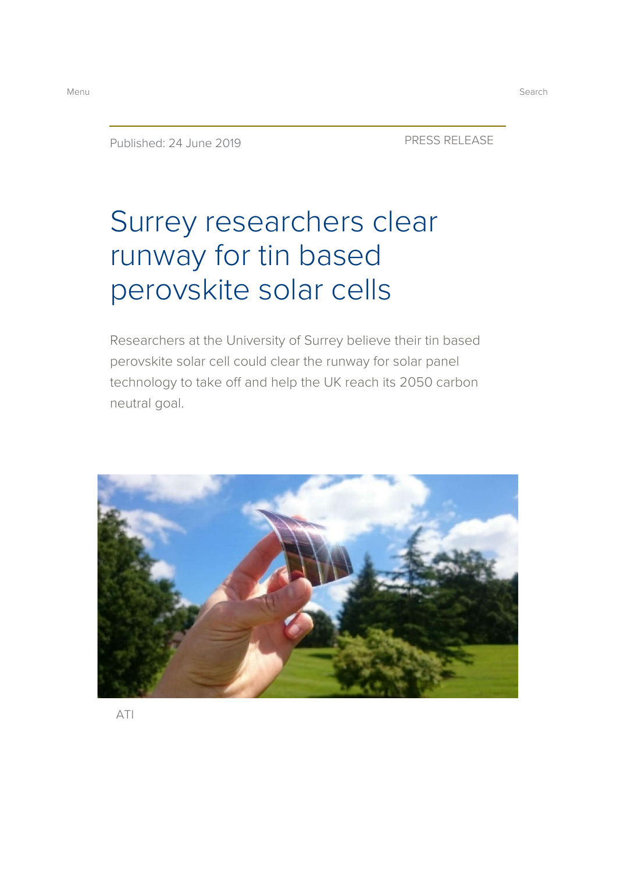Published: 24 June 2019 PRESS RELEASE

# Surrey researchers clear runway for tin based perovskite solar cells

Researchers at the University of Surrey believe their tin based perovskite solar cell could clear the runway for solar panel technology to take off and help the UK reach its 2050 carbon neutral goal.

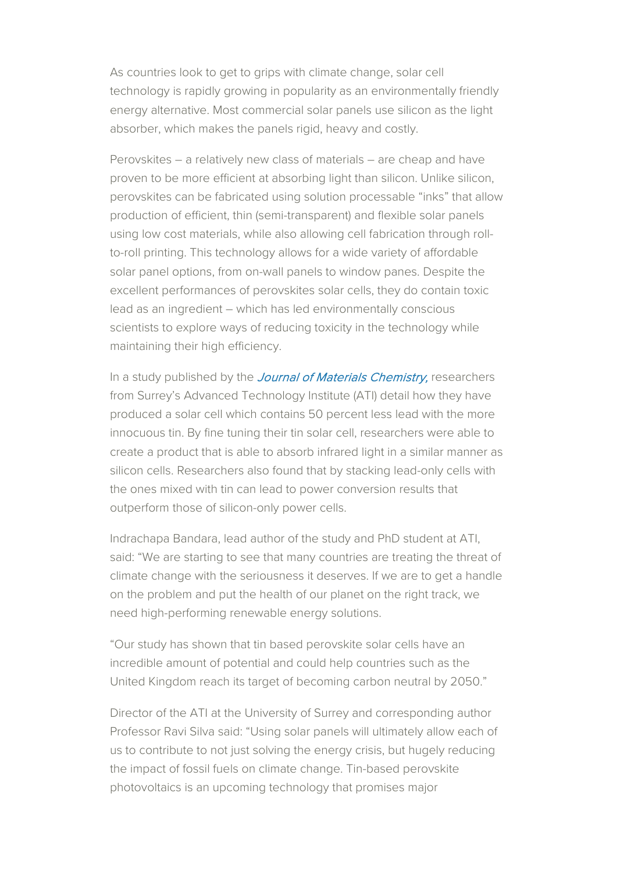As countries look to get to grips with climate change, solar cell technology is rapidly growing in popularity as an environmentally friendly energy alternative. Most commercial solar panels use silicon as the light absorber, which makes the panels rigid, heavy and costly.

Perovskites – a relatively new class of materials – are cheap and have proven to be more efficient at absorbing light than silicon. Unlike silicon, perovskites can be fabricated using solution processable "inks" that allow production of efficient, thin (semi-transparent) and flexible solar panels using low cost materials, while also allowing cell fabrication through rollto-roll printing. This technology allows for a wide variety of affordable solar panel options, from on-wall panels to window panes. Despite the excellent performances of perovskites solar cells, they do contain toxic lead as an ingredient – which has led environmentally conscious scientists to explore ways of reducing toxicity in the technology while maintaining their high efficiency.

In a study published by the *Journal of Materials Chemistry*, researchers from Surrey's Advanced Technology Institute (ATI) detail how they have produced a solar cell which contains 50 percent less lead with the more innocuous tin. By fine tuning their tin solar cell, researchers were able to create a product that is able to absorb infrared light in a similar manner as silicon cells. Researchers also found that by stacking lead-only cells with the ones mixed with tin can lead to power conversion results that outperform those of silicon-only power cells.

Indrachapa Bandara, lead author of the study and PhD student at ATI, said: "We are starting to see that many countries are treating the threat of climate change with the seriousness it deserves. If we are to get a handle on the problem and put the health of our planet on the right track, we need high-performing renewable energy solutions.

"Our study has shown that tin based perovskite solar cells have an incredible amount of potential and could help countries such as the United Kingdom reach its target of becoming carbon neutral by 2050."

Director of the ATI at the University of Surrey and corresponding author Professor Ravi Silva said: "Using solar panels will ultimately allow each of us to contribute to not just solving the energy crisis, but hugely reducing the impact of fossil fuels on climate change. Tin-based perovskite photovoltaics is an upcoming technology that promises major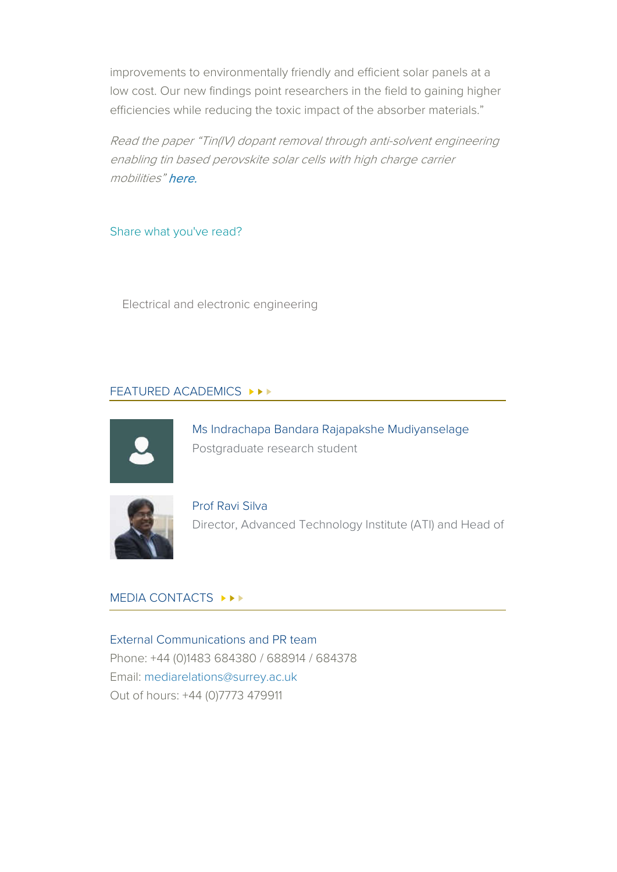improvements to environmentally friendly and efficient solar panels at a low cost. Our new findings point researchers in the field to gaining higher efficiencies while reducing the toxic impact of the absorber materials."

Read the paper "Tin(IV) dopant removal through anti-solvent engineering enabling tin based perovskite solar cells with high charge carrier mobilities" here.

Share what you've read?

Electrical and electronic engineering

## FEATURED ACADEMICS ▶▶▶



Ms Indrachapa Bandara Rajapakshe Mudiyanselage Postgraduate research student



Prof Ravi Silva Director, Advanced Technology Institute (ATI) and Head of

#### MEDIA CONTACTS ▶▶▶

External Communications and PR team Phone: +44 (0)1483 684380 / 688914 / 684378 Email: mediarelations@surrey.ac.uk Out of hours: +44 (0)7773 479911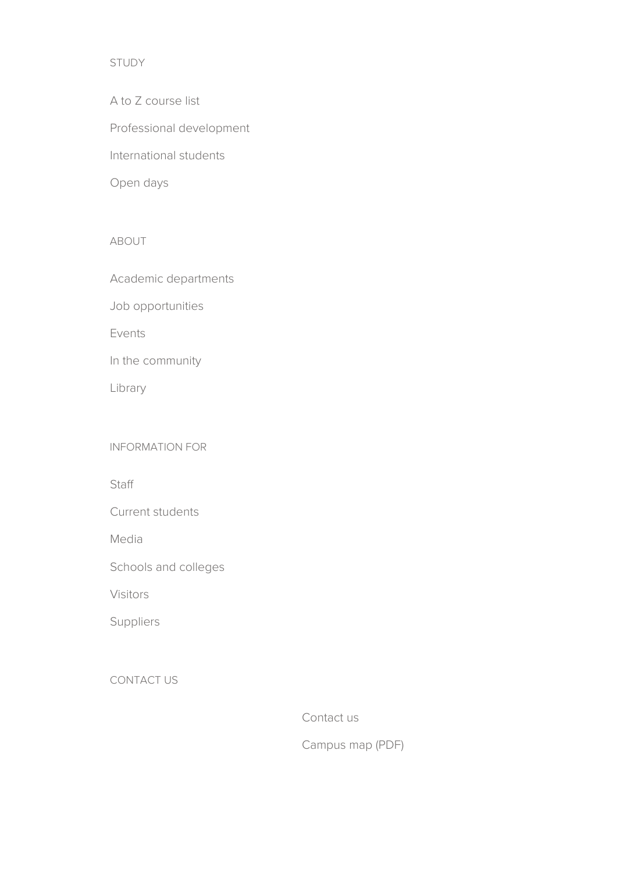## STUDY

A to Z course list Professional development International students Open days

#### ABOUT

Academic departments

Job opportunities

Events

In the community

Library

#### INFORMATION FOR

**Staff** 

Current students

Media

Schools and colleges

Visitors

Suppliers

CONTACT US

Contact us

Campus map (PDF)